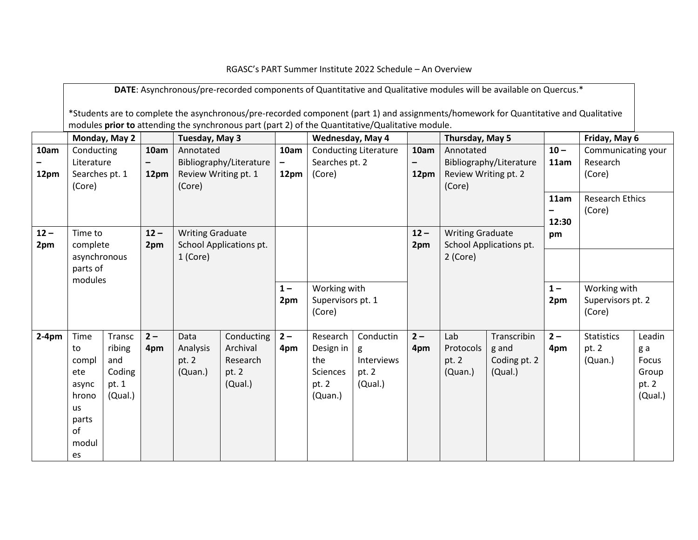RGASC's PART Summer Institute 2022 Schedule – An Overview

**DATE**: Asynchronous/pre-recorded components of Quantitative and Qualitative modules will be available on Quercus.\*

\*Students are to complete the asynchronous/pre-recorded component (part 1) and assignments/homework for Quantitative and Qualitative modules **prior to** attending the synchronous part (part 2) of the Quantitative/Qualitative module.

|               | Monday, May 2            |               | Tuesday, May 3 |                                      |                         | Wednesday, May 4          |                                             |                              | Thursday, May 5 |                                                    |                         | Friday, May 6  |                                             |              |
|---------------|--------------------------|---------------|----------------|--------------------------------------|-------------------------|---------------------------|---------------------------------------------|------------------------------|-----------------|----------------------------------------------------|-------------------------|----------------|---------------------------------------------|--------------|
| 10am          | Conducting<br>Literature |               | 10am<br>-      | Annotated<br>Bibliography/Literature |                         | 10am<br>$\qquad \qquad -$ | Searches pt. 2                              | <b>Conducting Literature</b> | 10am            | Annotated<br>Bibliography/Literature               |                         | $10 -$<br>11am | Communicating your<br>Research              |              |
| 12pm          | Searches pt. 1<br>(Core) |               | 12pm           | Review Writing pt. 1<br>(Core)       |                         | 12pm                      | (Core)                                      |                              | 12pm            | Review Writing pt. 2<br>(Core)                     |                         |                | (Core)                                      |              |
|               |                          |               |                |                                      |                         |                           |                                             |                              |                 |                                                    |                         | 11am           | <b>Research Ethics</b><br>(Core)            |              |
|               |                          |               |                |                                      |                         |                           |                                             |                              |                 |                                                    |                         | 12:30          |                                             |              |
| $12 -$<br>2pm | Time to<br>complete      |               | $12 -$<br>2pm  | <b>Writing Graduate</b>              | School Applications pt. |                           |                                             |                              | $12 -$<br>2pm   | <b>Writing Graduate</b><br>School Applications pt. |                         | pm             |                                             |              |
|               | asynchronous             |               |                | 1 (Core)                             |                         |                           |                                             |                              |                 | 2 (Core)                                           |                         |                |                                             |              |
|               | parts of<br>modules      |               |                |                                      |                         |                           |                                             |                              |                 |                                                    |                         |                |                                             |              |
|               |                          |               |                |                                      |                         | $1 -$<br>2pm              | Working with<br>Supervisors pt. 1<br>(Core) |                              |                 |                                                    |                         | $1 -$<br>2pm   | Working with<br>Supervisors pt. 2<br>(Core) |              |
|               |                          |               |                |                                      |                         |                           |                                             |                              |                 |                                                    |                         |                |                                             |              |
| $2-4pm$       | Time                     | Transc        | $2 -$          | Data                                 | Conducting              | $2 -$                     | Research                                    | Conductin                    | $2-$            | Lab                                                | Transcribin             | $2 -$          | <b>Statistics</b>                           | Leadin       |
|               | to                       | ribing<br>and | 4pm            | Analysis<br>pt. 2                    | Archival<br>Research    | 4pm                       | Design in<br>the                            | g<br>Interviews              | 4pm             | Protocols<br>pt. 2                                 | g and                   | 4pm            | pt. 2                                       | g a<br>Focus |
|               | compl<br>ete             | Coding        |                | (Quan.)                              | pt. 2                   |                           | Sciences                                    | pt. 2                        |                 | (Quan.)                                            | Coding pt. 2<br>(Qual.) |                | (Quan.)                                     | Group        |
|               | async                    | pt. 1         |                |                                      | (Qual.)                 |                           | pt. 2                                       | (Qual.)                      |                 |                                                    |                         |                |                                             | pt. 2        |
|               | hrono                    | (Qual.)       |                |                                      |                         |                           | (Quan.)                                     |                              |                 |                                                    |                         |                |                                             | (Qual.)      |
|               | us                       |               |                |                                      |                         |                           |                                             |                              |                 |                                                    |                         |                |                                             |              |
|               | parts<br>of              |               |                |                                      |                         |                           |                                             |                              |                 |                                                    |                         |                |                                             |              |
|               | modul                    |               |                |                                      |                         |                           |                                             |                              |                 |                                                    |                         |                |                                             |              |
|               | es                       |               |                |                                      |                         |                           |                                             |                              |                 |                                                    |                         |                |                                             |              |